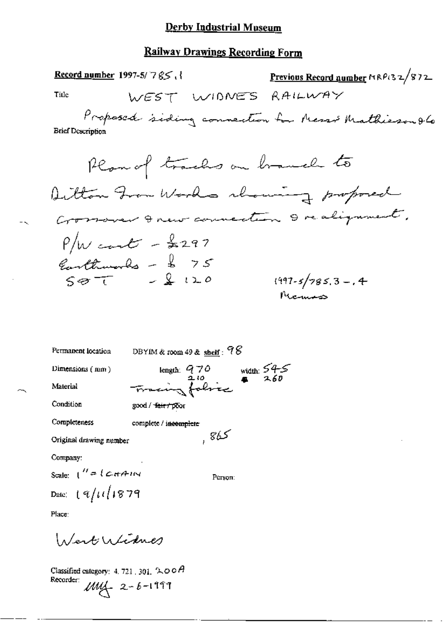### **Railway Drawings Recording Form**

| }, Record number 1997-5/7 <i>\$</i> <                                            | Previous Record number MRP132/872 |
|----------------------------------------------------------------------------------|-----------------------------------|
| Ti⊔e<br>WEST WIDNES                                                              | RAILWAY                           |
| Proposed siding connection for Messis Mathieson & Co<br><b>Brief Description</b> |                                   |
| Plan of tracks on branch to                                                      |                                   |
| Ditton From Works chawing proposed                                               |                                   |
| Crossover I new connection I realignment,                                        |                                   |
| $P/W$ cant - \$297                                                               |                                   |
|                                                                                  |                                   |
| Earthwards - \$ 75                                                               | $(997 - 5/785.3 - 0.4)$           |
|                                                                                  |                                   |

| Permanent location                                   | DBYIM & room 49 & shelf: $98$  |                                |
|------------------------------------------------------|--------------------------------|--------------------------------|
| Dimensions (mm)                                      | length: $970$                  | width: $54-5$<br>$\bullet$ 260 |
| Material                                             | Tracing fabric                 |                                |
| Condition                                            | good / <del>fair / po</del> or |                                |
| Completeness                                         | complete / incomplete          |                                |
| Original drawing number                              | ككا8,                          |                                |
| Company:                                             |                                |                                |
| Scale: ("={C++A+1N                                   | Рствоп:                        |                                |
| Date: [ $\frac{q}{l}\mu\left( \frac{1}{3}\right) 79$ |                                |                                |
|                                                      |                                |                                |

Place:

 $\mathbb{R}^d$ 

Wert Widnes

Classified category: 4, 721, 301,  $\mathcal{L}\text{O}\text{O}\text{A}$ Recorder:  $\mu\mu$  2-6-1999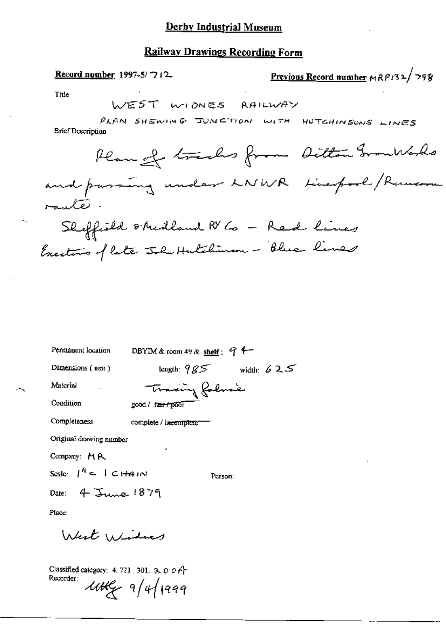#### **Railway Drawings Recording Form**

Previous Record number HRP132/798 Record number 1997-5/712 Title WEST WIDNES RAILWAY PLAN SHEWING JUNCTION WITH HUTCHINSONS LINES **Brief Description** Plan of tracks from Ditton Granblods and passing under LNWR Linepool/Ruman rauté. Sheffield shedland N 6 - Red lines Exectors of late John Hutchiman - Blue lines

| Permanent location                   | DBYIM & room 49 & shelf: $9 + -$ |              |
|--------------------------------------|----------------------------------|--------------|
| Dimensions $(mn)$                    | length: $985$                    | width: $625$ |
| Material                             | Trading folmed                   |              |
| Condition                            | good / fair f poor               |              |
| Completeness                         | complete / incomplete            |              |
| Original drawing number              |                                  |              |
| Company: H.A.                        | ٠                                |              |
| Scale: $\int_0^h e^{-t} \, dt$ CHAIN | Person:                          |              |
| Date: $4\text{ June.}$ 1879          |                                  |              |
| Place:                               |                                  |              |
|                                      |                                  |              |

Classified category: 4, 721, 301,  $\alpha$ ,  $\alpha$ ,  $\alpha$ Recorder:  $444 - 941999$ 

West Windows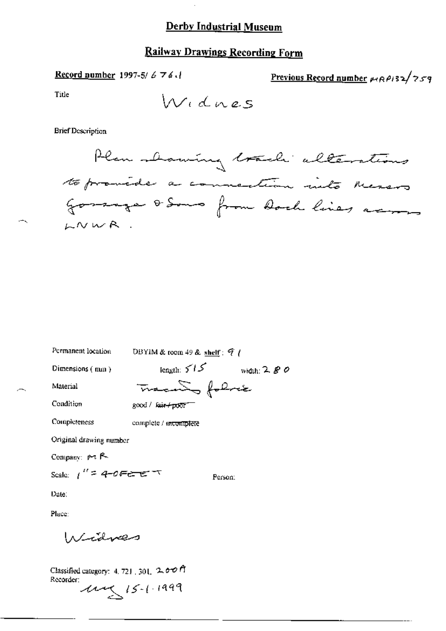# **Railway Drawings Recording Form**

Record number 1997-5/676.1

Previous Record number MRP132/759

Title

 $\ddot{\phantom{a}}$ 

**Brief Description** 

DBYIM & room 49 & shelf:  $\mathcal{T}$  / Permanent location  $length: 515$  width: 2.80 Dimensions (mm) Tracanto folice Material Condition good / fair+poor Completeness complete / incomplete Original drawing number Company: pr R Scale:  $1'' = 4$ -0FEET Person: Date: Place: Widves

Classified category: 4, 721, 301, 2, 00 ft Recorder:  $11499$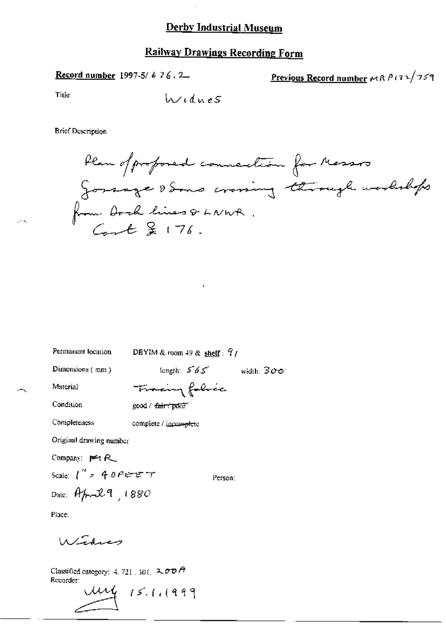#### **Railway Drawings Recording Form**

Record number 1997-5/ 6 76.2

Previous Record number  $M \wedge P$ 132/759

Title

**Brief Description** 

Plan of proposed councilion for Messos gorsage some crowing through workshops from Dock lines & LNWR.<br>Count & 176.

Permanent location

DBYIM & room 49 & shelf:  $9/$ 

Dimensions (mm)

length:  $565$  width:  $300$ 

Material

Fracing folice good / fair / ponr

Condition

Completeness

complete / incomplete

Original drawing number

Company: per R\_

Scale:  $1''$  = 40FEFT

Dale: April 9, 1880

Person:

Place:

Window

Classified category: 4, 721, 301,  $2\sigma\sigma$  A Recorder:

ung 15.1.1999